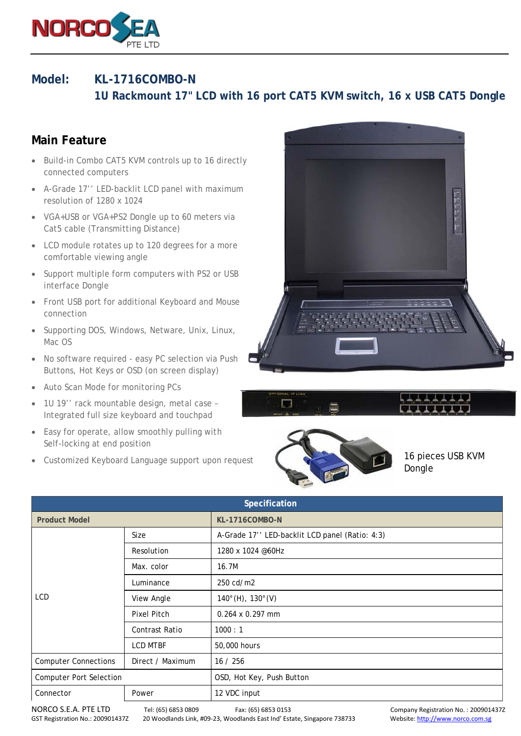

## **Model: KL-1716COMBO-N**

 **1U Rackmount 17" LCD with 16 port CAT5 KVM switch, 16 x USB CAT5 Dongle** 

## **Main Feature**

- Build-in Combo CAT5 KVM controls up to 16 directly connected computers
- A-Grade 17'' LED-backlit LCD panel with maximum resolution of 1280 x 1024
- VGA+USB or VGA+PS2 Dongle up to 60 meters via Cat5 cable (Transmitting Distance)
- LCD module rotates up to 120 degrees for a more comfortable viewing angle
- Support multiple form computers with PS2 or USB interface Dongle
- Front USB port for additional Keyboard and Mouse connection
- Supporting DOS, Windows, Netware, Unix, Linux, Mac OS
- No software required easy PC selection via Push Buttons, Hot Keys or OSD (on screen display)
- Auto Scan Mode for monitoring PCs
- 1U 19'' rack mountable design, metal case Integrated full size keyboard and touchpad
- Easy for operate, allow smoothly pulling with Self-locking at end position
- Customized Keyboard Language support upon request







16 pieces USB KVM Dongle

| Specification                  |                    |                                                |  |  |
|--------------------------------|--------------------|------------------------------------------------|--|--|
| <b>Product Model</b>           |                    | <b>KL-1716COMBO-N</b>                          |  |  |
| LCD                            | Size               | A-Grade 17" LED-backlit LCD panel (Ratio: 4:3) |  |  |
|                                | Resolution         | 1280 x 1024 @60Hz                              |  |  |
|                                | Max. color         | 16.7M                                          |  |  |
|                                | Luminance          | 250 cd/m2                                      |  |  |
|                                | View Angle         | $140^{\circ}$ (H), $130^{\circ}$ (V)           |  |  |
|                                | <b>Pixel Pitch</b> | $0.264 \times 0.297$ mm                        |  |  |
|                                | Contrast Ratio     | 1000:1                                         |  |  |
|                                | <b>LCD MTBF</b>    | 50,000 hours                                   |  |  |
| <b>Computer Connections</b>    | Direct / Maximum   | 16 / 256                                       |  |  |
| <b>Computer Port Selection</b> |                    | OSD, Hot Key, Push Button                      |  |  |
| Connector<br>Power             |                    | 12 VDC input                                   |  |  |